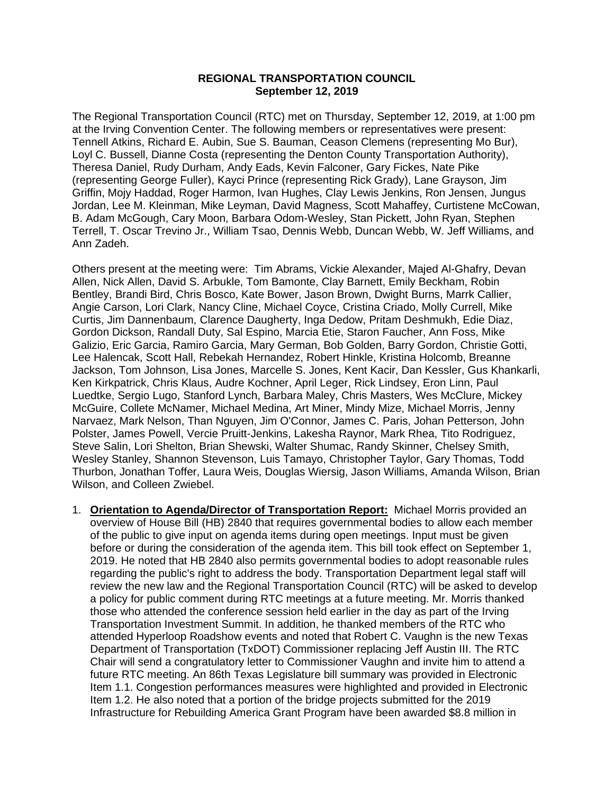## **REGIONAL TRANSPORTATION COUNCIL September 12, 2019**

The Regional Transportation Council (RTC) met on Thursday, September 12, 2019, at 1:00 pm at the Irving Convention Center. The following members or representatives were present: Tennell Atkins, Richard E. Aubin, Sue S. Bauman, Ceason Clemens (representing Mo Bur), Loyl C. Bussell, Dianne Costa (representing the Denton County Transportation Authority), Theresa Daniel, Rudy Durham, Andy Eads, Kevin Falconer, Gary Fickes, Nate Pike (representing George Fuller), Kayci Prince (representing Rick Grady), Lane Grayson, Jim Griffin, Mojy Haddad, Roger Harmon, Ivan Hughes, Clay Lewis Jenkins, Ron Jensen, Jungus Jordan, Lee M. Kleinman, Mike Leyman, David Magness, Scott Mahaffey, Curtistene McCowan, B. Adam McGough, Cary Moon, Barbara Odom-Wesley, Stan Pickett, John Ryan, Stephen Terrell, T. Oscar Trevino Jr., William Tsao, Dennis Webb, Duncan Webb, W. Jeff Williams, and Ann Zadeh.

Others present at the meeting were: Tim Abrams, Vickie Alexander, Majed Al-Ghafry, Devan Allen, Nick Allen, David S. Arbukle, Tom Bamonte, Clay Barnett, Emily Beckham, Robin Bentley, Brandi Bird, Chris Bosco, Kate Bower, Jason Brown, Dwight Burns, Marrk Callier, Angie Carson, Lori Clark, Nancy Cline, Michael Coyce, Cristina Criado, Molly Currell, Mike Curtis, Jim Dannenbaum, Clarence Daugherty, Inga Dedow, Pritam Deshmukh, Edie Diaz, Gordon Dickson, Randall Duty, Sal Espino, Marcia Etie, Staron Faucher, Ann Foss, Mike Galizio, Eric Garcia, Ramiro Garcia, Mary German, Bob Golden, Barry Gordon, Christie Gotti, Lee Halencak, Scott Hall, Rebekah Hernandez, Robert Hinkle, Kristina Holcomb, Breanne Jackson, Tom Johnson, Lisa Jones, Marcelle S. Jones, Kent Kacir, Dan Kessler, Gus Khankarli, Ken Kirkpatrick, Chris Klaus, Audre Kochner, April Leger, Rick Lindsey, Eron Linn, Paul Luedtke, Sergio Lugo, Stanford Lynch, Barbara Maley, Chris Masters, Wes McClure, Mickey McGuire, Collete McNamer, Michael Medina, Art Miner, Mindy Mize, Michael Morris, Jenny Narvaez, Mark Nelson, Than Nguyen, Jim O'Connor, James C. Paris, Johan Petterson, John Polster, James Powell, Vercie Pruitt-Jenkins, Lakesha Raynor, Mark Rhea, Tito Rodriguez, Steve Salin, Lori Shelton, Brian Shewski, Walter Shumac, Randy Skinner, Chelsey Smith, Wesley Stanley, Shannon Stevenson, Luis Tamayo, Christopher Taylor, Gary Thomas, Todd Thurbon, Jonathan Toffer, Laura Weis, Douglas Wiersig, Jason Williams, Amanda Wilson, Brian Wilson, and Colleen Zwiebel.

1. **Orientation to Agenda/Director of Transportation Report:** Michael Morris provided an overview of House Bill (HB) 2840 that requires governmental bodies to allow each member of the public to give input on agenda items during open meetings. Input must be given before or during the consideration of the agenda item. This bill took effect on September 1, 2019. He noted that HB 2840 also permits governmental bodies to adopt reasonable rules regarding the public's right to address the body. Transportation Department legal staff will review the new law and the Regional Transportation Council (RTC) will be asked to develop a policy for public comment during RTC meetings at a future meeting. Mr. Morris thanked those who attended the conference session held earlier in the day as part of the Irving Transportation Investment Summit. In addition, he thanked members of the RTC who attended Hyperloop Roadshow events and noted that Robert C. Vaughn is the new Texas Department of Transportation (TxDOT) Commissioner replacing Jeff Austin III. The RTC Chair will send a congratulatory letter to Commissioner Vaughn and invite him to attend a future RTC meeting. An 86th Texas Legislature bill summary was provided in Electronic Item 1.1. Congestion performances measures were highlighted and provided in Electronic Item 1.2. He also noted that a portion of the bridge projects submitted for the 2019 Infrastructure for Rebuilding America Grant Program have been awarded \$8.8 million in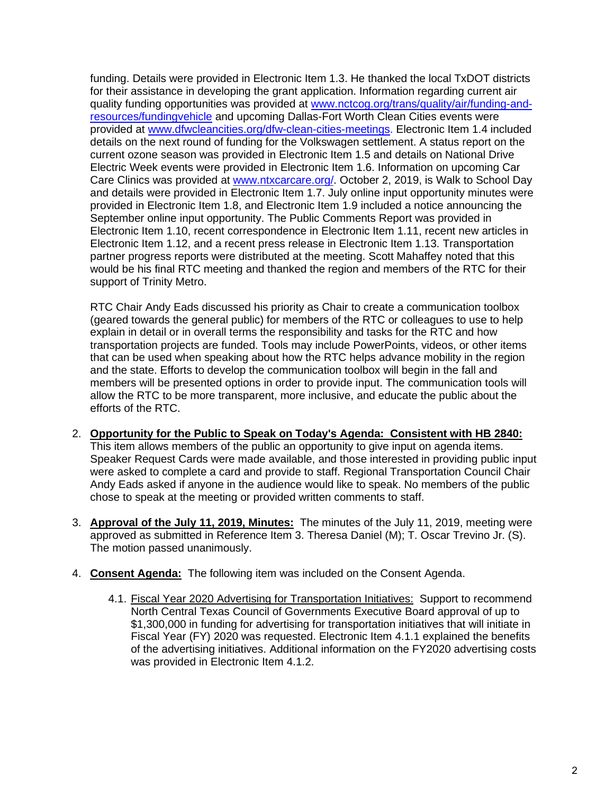funding. Details were provided in Electronic Item 1.3. He thanked the local TxDOT districts for their assistance in developing the grant application. Information regarding current air quality funding opportunities was provided at [www.nctcog.org/trans/quality/air/funding-and](http://www.nctcog.org/trans/quality/air/funding-and-resources/fundingvehicle)[resources/fundingvehicle](http://www.nctcog.org/trans/quality/air/funding-and-resources/fundingvehicle) and upcoming Dallas-Fort Worth Clean Cities events were provided at [www.dfwcleancities.org/dfw-clean-cities-meetings.](http://www.dfwcleancities.org/dfw-clean-cities-meetings) Electronic Item 1.4 included details on the next round of funding for the Volkswagen settlement. A status report on the current ozone season was provided in Electronic Item 1.5 and details on National Drive Electric Week events were provided in Electronic Item 1.6. Information on upcoming Car Care Clinics was provided at [www.ntxcarcare.org/. October](http://www.ntxcarcare.org/.%20October) 2, 2019, is Walk to School Day and details were provided in Electronic Item 1.7. July online input opportunity minutes were provided in Electronic Item 1.8, and Electronic Item 1.9 included a notice announcing the September online input opportunity. The Public Comments Report was provided in Electronic Item 1.10, recent correspondence in Electronic Item 1.11, recent new articles in Electronic Item 1.12, and a recent press release in Electronic Item 1.13. Transportation partner progress reports were distributed at the meeting. Scott Mahaffey noted that this would be his final RTC meeting and thanked the region and members of the RTC for their support of Trinity Metro.

RTC Chair Andy Eads discussed his priority as Chair to create a communication toolbox (geared towards the general public) for members of the RTC or colleagues to use to help explain in detail or in overall terms the responsibility and tasks for the RTC and how transportation projects are funded. Tools may include PowerPoints, videos, or other items that can be used when speaking about how the RTC helps advance mobility in the region and the state. Efforts to develop the communication toolbox will begin in the fall and members will be presented options in order to provide input. The communication tools will allow the RTC to be more transparent, more inclusive, and educate the public about the efforts of the RTC.

- 2. **Opportunity for the Public to Speak on Today's Agenda: Consistent with HB 2840:** This item allows members of the public an opportunity to give input on agenda items. Speaker Request Cards were made available, and those interested in providing public input were asked to complete a card and provide to staff. Regional Transportation Council Chair Andy Eads asked if anyone in the audience would like to speak. No members of the public chose to speak at the meeting or provided written comments to staff.
- 3. **Approval of the July 11, 2019, Minutes:** The minutes of the July 11, 2019, meeting were approved as submitted in Reference Item 3. Theresa Daniel (M); T. Oscar Trevino Jr. (S). The motion passed unanimously.
- 4. **Consent Agenda:** The following item was included on the Consent Agenda.
	- 4.1. Fiscal Year 2020 Advertising for Transportation Initiatives: Support to recommend North Central Texas Council of Governments Executive Board approval of up to \$1,300,000 in funding for advertising for transportation initiatives that will initiate in Fiscal Year (FY) 2020 was requested. Electronic Item 4.1.1 explained the benefits of the advertising initiatives. Additional information on the FY2020 advertising costs was provided in Electronic Item 4.1.2.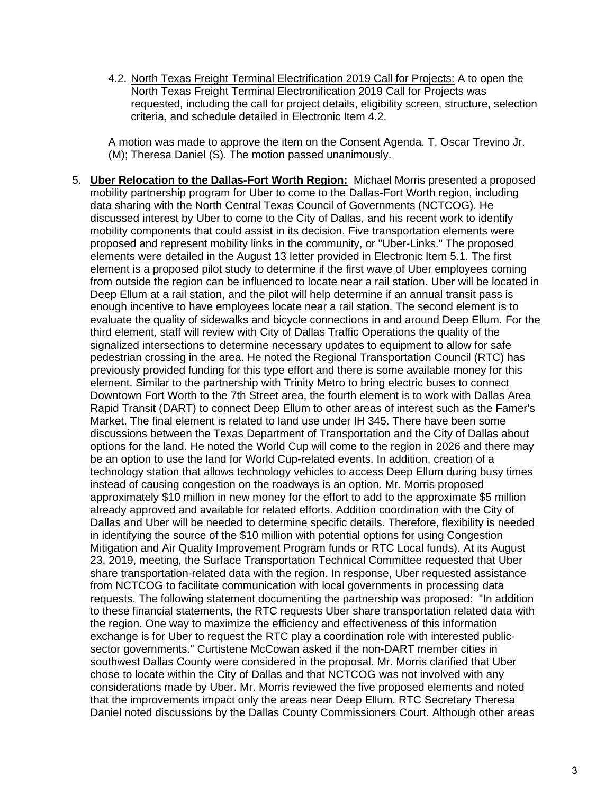4.2. North Texas Freight Terminal Electrification 2019 Call for Projects: A to open the North Texas Freight Terminal Electronification 2019 Call for Projects was requested, including the call for project details, eligibility screen, structure, selection criteria, and schedule detailed in Electronic Item 4.2.

A motion was made to approve the item on the Consent Agenda. T. Oscar Trevino Jr. (M); Theresa Daniel (S). The motion passed unanimously.

5. **Uber Relocation to the Dallas-Fort Worth Region:** Michael Morris presented a proposed mobility partnership program for Uber to come to the Dallas-Fort Worth region, including data sharing with the North Central Texas Council of Governments (NCTCOG). He discussed interest by Uber to come to the City of Dallas, and his recent work to identify mobility components that could assist in its decision. Five transportation elements were proposed and represent mobility links in the community, or "Uber-Links." The proposed elements were detailed in the August 13 letter provided in Electronic Item 5.1. The first element is a proposed pilot study to determine if the first wave of Uber employees coming from outside the region can be influenced to locate near a rail station. Uber will be located in Deep Ellum at a rail station, and the pilot will help determine if an annual transit pass is enough incentive to have employees locate near a rail station. The second element is to evaluate the quality of sidewalks and bicycle connections in and around Deep Ellum. For the third element, staff will review with City of Dallas Traffic Operations the quality of the signalized intersections to determine necessary updates to equipment to allow for safe pedestrian crossing in the area. He noted the Regional Transportation Council (RTC) has previously provided funding for this type effort and there is some available money for this element. Similar to the partnership with Trinity Metro to bring electric buses to connect Downtown Fort Worth to the 7th Street area, the fourth element is to work with Dallas Area Rapid Transit (DART) to connect Deep Ellum to other areas of interest such as the Famer's Market. The final element is related to land use under IH 345. There have been some discussions between the Texas Department of Transportation and the City of Dallas about options for the land. He noted the World Cup will come to the region in 2026 and there may be an option to use the land for World Cup-related events. In addition, creation of a technology station that allows technology vehicles to access Deep Ellum during busy times instead of causing congestion on the roadways is an option. Mr. Morris proposed approximately \$10 million in new money for the effort to add to the approximate \$5 million already approved and available for related efforts. Addition coordination with the City of Dallas and Uber will be needed to determine specific details. Therefore, flexibility is needed in identifying the source of the \$10 million with potential options for using Congestion Mitigation and Air Quality Improvement Program funds or RTC Local funds). At its August 23, 2019, meeting, the Surface Transportation Technical Committee requested that Uber share transportation-related data with the region. In response, Uber requested assistance from NCTCOG to facilitate communication with local governments in processing data requests. The following statement documenting the partnership was proposed: "In addition to these financial statements, the RTC requests Uber share transportation related data with the region. One way to maximize the efficiency and effectiveness of this information exchange is for Uber to request the RTC play a coordination role with interested publicsector governments." Curtistene McCowan asked if the non-DART member cities in southwest Dallas County were considered in the proposal. Mr. Morris clarified that Uber chose to locate within the City of Dallas and that NCTCOG was not involved with any considerations made by Uber. Mr. Morris reviewed the five proposed elements and noted that the improvements impact only the areas near Deep Ellum. RTC Secretary Theresa Daniel noted discussions by the Dallas County Commissioners Court. Although other areas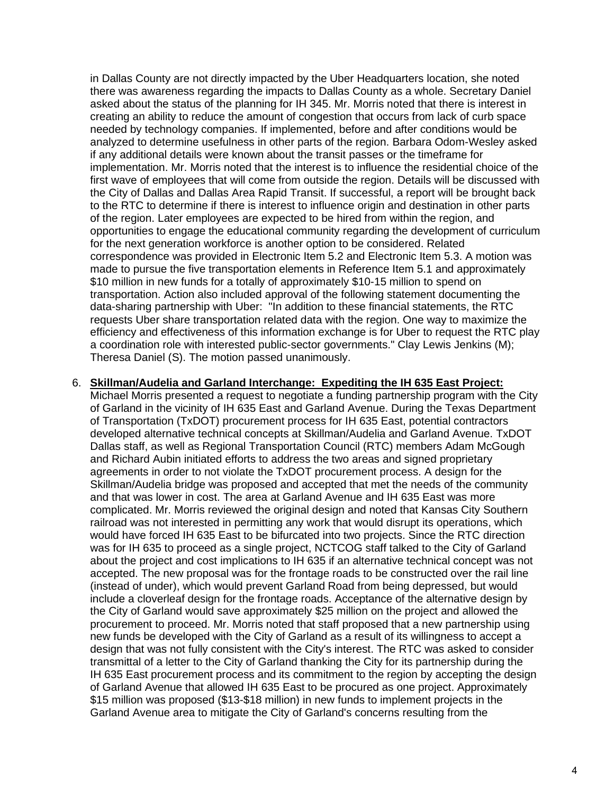in Dallas County are not directly impacted by the Uber Headquarters location, she noted there was awareness regarding the impacts to Dallas County as a whole. Secretary Daniel asked about the status of the planning for IH 345. Mr. Morris noted that there is interest in creating an ability to reduce the amount of congestion that occurs from lack of curb space needed by technology companies. If implemented, before and after conditions would be analyzed to determine usefulness in other parts of the region. Barbara Odom-Wesley asked if any additional details were known about the transit passes or the timeframe for implementation. Mr. Morris noted that the interest is to influence the residential choice of the first wave of employees that will come from outside the region. Details will be discussed with the City of Dallas and Dallas Area Rapid Transit. If successful, a report will be brought back to the RTC to determine if there is interest to influence origin and destination in other parts of the region. Later employees are expected to be hired from within the region, and opportunities to engage the educational community regarding the development of curriculum for the next generation workforce is another option to be considered. Related correspondence was provided in Electronic Item 5.2 and Electronic Item 5.3. A motion was made to pursue the five transportation elements in Reference Item 5.1 and approximately \$10 million in new funds for a totally of approximately \$10-15 million to spend on transportation. Action also included approval of the following statement documenting the data-sharing partnership with Uber: "In addition to these financial statements, the RTC requests Uber share transportation related data with the region. One way to maximize the efficiency and effectiveness of this information exchange is for Uber to request the RTC play a coordination role with interested public-sector governments." Clay Lewis Jenkins (M); Theresa Daniel (S). The motion passed unanimously.

## 6. **Skillman/Audelia and Garland Interchange: Expediting the IH 635 East Project:**

Michael Morris presented a request to negotiate a funding partnership program with the City of Garland in the vicinity of IH 635 East and Garland Avenue. During the Texas Department of Transportation (TxDOT) procurement process for IH 635 East, potential contractors developed alternative technical concepts at Skillman/Audelia and Garland Avenue. TxDOT Dallas staff, as well as Regional Transportation Council (RTC) members Adam McGough and Richard Aubin initiated efforts to address the two areas and signed proprietary agreements in order to not violate the TxDOT procurement process. A design for the Skillman/Audelia bridge was proposed and accepted that met the needs of the community and that was lower in cost. The area at Garland Avenue and IH 635 East was more complicated. Mr. Morris reviewed the original design and noted that Kansas City Southern railroad was not interested in permitting any work that would disrupt its operations, which would have forced IH 635 East to be bifurcated into two projects. Since the RTC direction was for IH 635 to proceed as a single project, NCTCOG staff talked to the City of Garland about the project and cost implications to IH 635 if an alternative technical concept was not accepted. The new proposal was for the frontage roads to be constructed over the rail line (instead of under), which would prevent Garland Road from being depressed, but would include a cloverleaf design for the frontage roads. Acceptance of the alternative design by the City of Garland would save approximately \$25 million on the project and allowed the procurement to proceed. Mr. Morris noted that staff proposed that a new partnership using new funds be developed with the City of Garland as a result of its willingness to accept a design that was not fully consistent with the City's interest. The RTC was asked to consider transmittal of a letter to the City of Garland thanking the City for its partnership during the IH 635 East procurement process and its commitment to the region by accepting the design of Garland Avenue that allowed IH 635 East to be procured as one project. Approximately \$15 million was proposed (\$13-\$18 million) in new funds to implement projects in the Garland Avenue area to mitigate the City of Garland's concerns resulting from the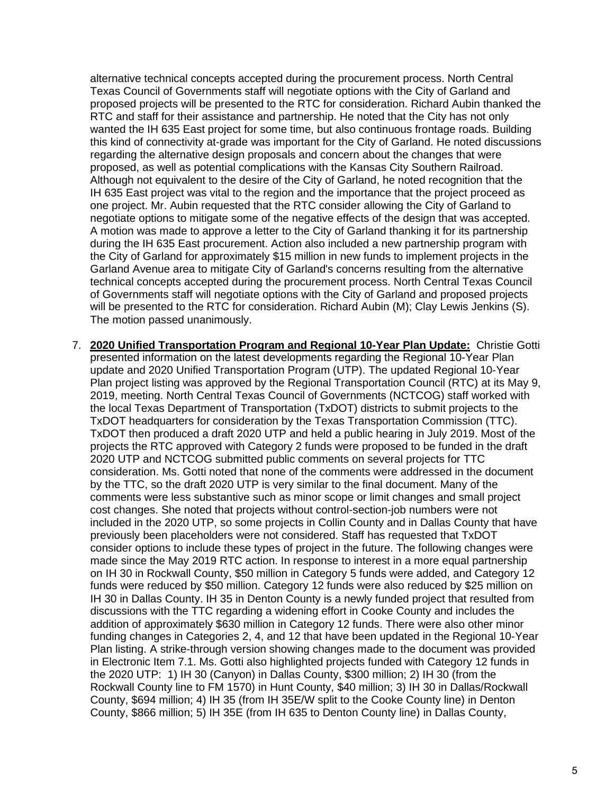alternative technical concepts accepted during the procurement process. North Central Texas Council of Governments staff will negotiate options with the City of Garland and proposed projects will be presented to the RTC for consideration. Richard Aubin thanked the RTC and staff for their assistance and partnership. He noted that the City has not only wanted the IH 635 East project for some time, but also continuous frontage roads. Building this kind of connectivity at-grade was important for the City of Garland. He noted discussions regarding the alternative design proposals and concern about the changes that were proposed, as well as potential complications with the Kansas City Southern Railroad. Although not equivalent to the desire of the City of Garland, he noted recognition that the IH 635 East project was vital to the region and the importance that the project proceed as one project. Mr. Aubin requested that the RTC consider allowing the City of Garland to negotiate options to mitigate some of the negative effects of the design that was accepted. A motion was made to approve a letter to the City of Garland thanking it for its partnership during the IH 635 East procurement. Action also included a new partnership program with the City of Garland for approximately \$15 million in new funds to implement projects in the Garland Avenue area to mitigate City of Garland's concerns resulting from the alternative technical concepts accepted during the procurement process. North Central Texas Council of Governments staff will negotiate options with the City of Garland and proposed projects will be presented to the RTC for consideration. Richard Aubin (M); Clay Lewis Jenkins (S). The motion passed unanimously.

7. **2020 Unified Transportation Program and Regional 10-Year Plan Update:** Christie Gotti presented information on the latest developments regarding the Regional 10-Year Plan update and 2020 Unified Transportation Program (UTP). The updated Regional 10-Year Plan project listing was approved by the Regional Transportation Council (RTC) at its May 9, 2019, meeting. North Central Texas Council of Governments (NCTCOG) staff worked with the local Texas Department of Transportation (TxDOT) districts to submit projects to the TxDOT headquarters for consideration by the Texas Transportation Commission (TTC). TxDOT then produced a draft 2020 UTP and held a public hearing in July 2019. Most of the projects the RTC approved with Category 2 funds were proposed to be funded in the draft 2020 UTP and NCTCOG submitted public comments on several projects for TTC consideration. Ms. Gotti noted that none of the comments were addressed in the document by the TTC, so the draft 2020 UTP is very similar to the final document. Many of the comments were less substantive such as minor scope or limit changes and small project cost changes. She noted that projects without control-section-job numbers were not included in the 2020 UTP, so some projects in Collin County and in Dallas County that have previously been placeholders were not considered. Staff has requested that TxDOT consider options to include these types of project in the future. The following changes were made since the May 2019 RTC action. In response to interest in a more equal partnership on IH 30 in Rockwall County, \$50 million in Category 5 funds were added, and Category 12 funds were reduced by \$50 million. Category 12 funds were also reduced by \$25 million on IH 30 in Dallas County. IH 35 in Denton County is a newly funded project that resulted from discussions with the TTC regarding a widening effort in Cooke County and includes the addition of approximately \$630 million in Category 12 funds. There were also other minor funding changes in Categories 2, 4, and 12 that have been updated in the Regional 10-Year Plan listing. A strike-through version showing changes made to the document was provided in Electronic Item 7.1. Ms. Gotti also highlighted projects funded with Category 12 funds in the 2020 UTP: 1) IH 30 (Canyon) in Dallas County, \$300 million; 2) IH 30 (from the Rockwall County line to FM 1570) in Hunt County, \$40 million; 3) IH 30 in Dallas/Rockwall County, \$694 million; 4) IH 35 (from IH 35E/W split to the Cooke County line) in Denton County, \$866 million; 5) IH 35E (from IH 635 to Denton County line) in Dallas County,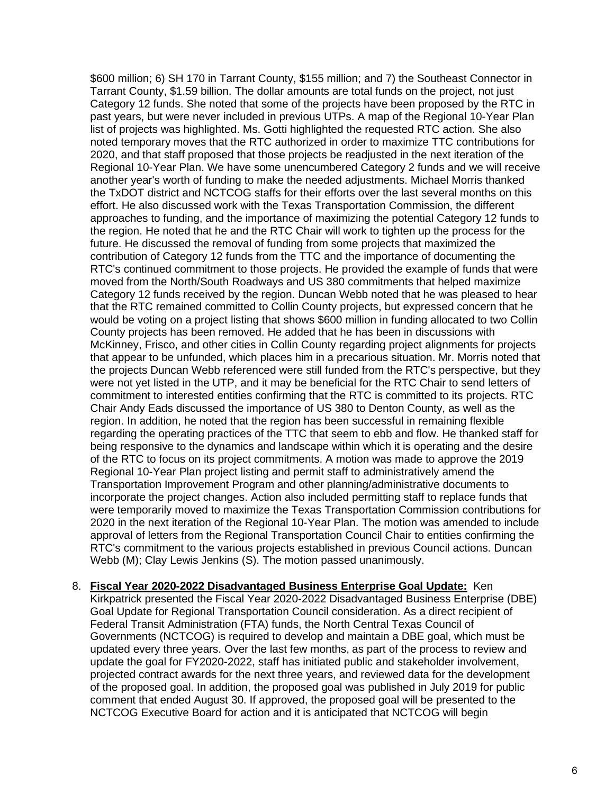\$600 million; 6) SH 170 in Tarrant County, \$155 million; and 7) the Southeast Connector in Tarrant County, \$1.59 billion. The dollar amounts are total funds on the project, not just Category 12 funds. She noted that some of the projects have been proposed by the RTC in past years, but were never included in previous UTPs. A map of the Regional 10-Year Plan list of projects was highlighted. Ms. Gotti highlighted the requested RTC action. She also noted temporary moves that the RTC authorized in order to maximize TTC contributions for 2020, and that staff proposed that those projects be readjusted in the next iteration of the Regional 10-Year Plan. We have some unencumbered Category 2 funds and we will receive another year's worth of funding to make the needed adjustments. Michael Morris thanked the TxDOT district and NCTCOG staffs for their efforts over the last several months on this effort. He also discussed work with the Texas Transportation Commission, the different approaches to funding, and the importance of maximizing the potential Category 12 funds to the region. He noted that he and the RTC Chair will work to tighten up the process for the future. He discussed the removal of funding from some projects that maximized the contribution of Category 12 funds from the TTC and the importance of documenting the RTC's continued commitment to those projects. He provided the example of funds that were moved from the North/South Roadways and US 380 commitments that helped maximize Category 12 funds received by the region. Duncan Webb noted that he was pleased to hear that the RTC remained committed to Collin County projects, but expressed concern that he would be voting on a project listing that shows \$600 million in funding allocated to two Collin County projects has been removed. He added that he has been in discussions with McKinney, Frisco, and other cities in Collin County regarding project alignments for projects that appear to be unfunded, which places him in a precarious situation. Mr. Morris noted that the projects Duncan Webb referenced were still funded from the RTC's perspective, but they were not yet listed in the UTP, and it may be beneficial for the RTC Chair to send letters of commitment to interested entities confirming that the RTC is committed to its projects. RTC Chair Andy Eads discussed the importance of US 380 to Denton County, as well as the region. In addition, he noted that the region has been successful in remaining flexible regarding the operating practices of the TTC that seem to ebb and flow. He thanked staff for being responsive to the dynamics and landscape within which it is operating and the desire of the RTC to focus on its project commitments. A motion was made to approve the 2019 Regional 10-Year Plan project listing and permit staff to administratively amend the Transportation Improvement Program and other planning/administrative documents to incorporate the project changes. Action also included permitting staff to replace funds that were temporarily moved to maximize the Texas Transportation Commission contributions for 2020 in the next iteration of the Regional 10-Year Plan. The motion was amended to include approval of letters from the Regional Transportation Council Chair to entities confirming the RTC's commitment to the various projects established in previous Council actions. Duncan Webb (M); Clay Lewis Jenkins (S). The motion passed unanimously.

8. **Fiscal Year 2020-2022 Disadvantaged Business Enterprise Goal Update:** Ken Kirkpatrick presented the Fiscal Year 2020-2022 Disadvantaged Business Enterprise (DBE) Goal Update for Regional Transportation Council consideration. As a direct recipient of Federal Transit Administration (FTA) funds, the North Central Texas Council of Governments (NCTCOG) is required to develop and maintain a DBE goal, which must be updated every three years. Over the last few months, as part of the process to review and update the goal for FY2020-2022, staff has initiated public and stakeholder involvement, projected contract awards for the next three years, and reviewed data for the development of the proposed goal. In addition, the proposed goal was published in July 2019 for public comment that ended August 30. If approved, the proposed goal will be presented to the NCTCOG Executive Board for action and it is anticipated that NCTCOG will begin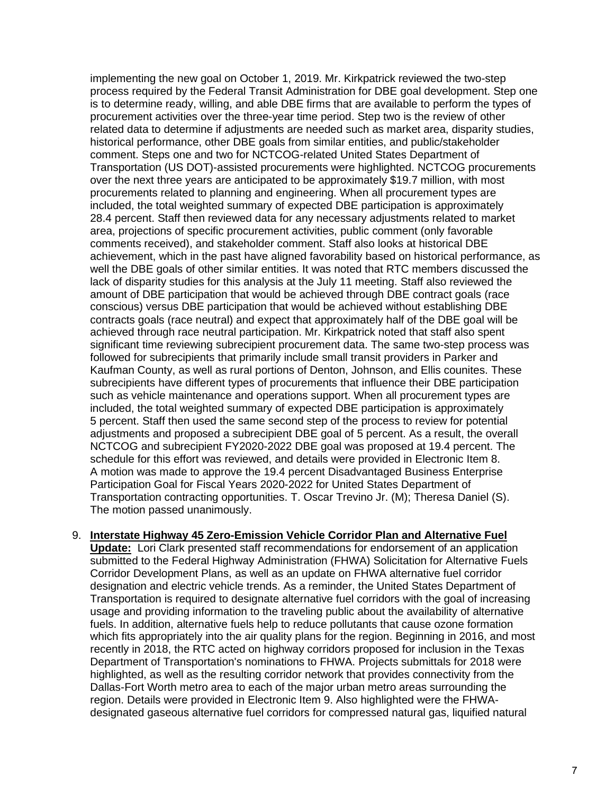implementing the new goal on October 1, 2019. Mr. Kirkpatrick reviewed the two-step process required by the Federal Transit Administration for DBE goal development. Step one is to determine ready, willing, and able DBE firms that are available to perform the types of procurement activities over the three-year time period. Step two is the review of other related data to determine if adjustments are needed such as market area, disparity studies, historical performance, other DBE goals from similar entities, and public/stakeholder comment. Steps one and two for NCTCOG-related United States Department of Transportation (US DOT)-assisted procurements were highlighted. NCTCOG procurements over the next three years are anticipated to be approximately \$19.7 million, with most procurements related to planning and engineering. When all procurement types are included, the total weighted summary of expected DBE participation is approximately 28.4 percent. Staff then reviewed data for any necessary adjustments related to market area, projections of specific procurement activities, public comment (only favorable comments received), and stakeholder comment. Staff also looks at historical DBE achievement, which in the past have aligned favorability based on historical performance, as well the DBE goals of other similar entities. It was noted that RTC members discussed the lack of disparity studies for this analysis at the July 11 meeting. Staff also reviewed the amount of DBE participation that would be achieved through DBE contract goals (race conscious) versus DBE participation that would be achieved without establishing DBE contracts goals (race neutral) and expect that approximately half of the DBE goal will be achieved through race neutral participation. Mr. Kirkpatrick noted that staff also spent significant time reviewing subrecipient procurement data. The same two-step process was followed for subrecipients that primarily include small transit providers in Parker and Kaufman County, as well as rural portions of Denton, Johnson, and Ellis counites. These subrecipients have different types of procurements that influence their DBE participation such as vehicle maintenance and operations support. When all procurement types are included, the total weighted summary of expected DBE participation is approximately 5 percent. Staff then used the same second step of the process to review for potential adjustments and proposed a subrecipient DBE goal of 5 percent. As a result, the overall NCTCOG and subrecipient FY2020-2022 DBE goal was proposed at 19.4 percent. The schedule for this effort was reviewed, and details were provided in Electronic Item 8. A motion was made to approve the 19.4 percent Disadvantaged Business Enterprise Participation Goal for Fiscal Years 2020-2022 for United States Department of Transportation contracting opportunities. T. Oscar Trevino Jr. (M); Theresa Daniel (S). The motion passed unanimously.

## 9. **Interstate Highway 45 Zero-Emission Vehicle Corridor Plan and Alternative Fuel**

**Update:** Lori Clark presented staff recommendations for endorsement of an application submitted to the Federal Highway Administration (FHWA) Solicitation for Alternative Fuels Corridor Development Plans, as well as an update on FHWA alternative fuel corridor designation and electric vehicle trends. As a reminder, the United States Department of Transportation is required to designate alternative fuel corridors with the goal of increasing usage and providing information to the traveling public about the availability of alternative fuels. In addition, alternative fuels help to reduce pollutants that cause ozone formation which fits appropriately into the air quality plans for the region. Beginning in 2016, and most recently in 2018, the RTC acted on highway corridors proposed for inclusion in the Texas Department of Transportation's nominations to FHWA. Projects submittals for 2018 were highlighted, as well as the resulting corridor network that provides connectivity from the Dallas-Fort Worth metro area to each of the major urban metro areas surrounding the region. Details were provided in Electronic Item 9. Also highlighted were the FHWAdesignated gaseous alternative fuel corridors for compressed natural gas, liquified natural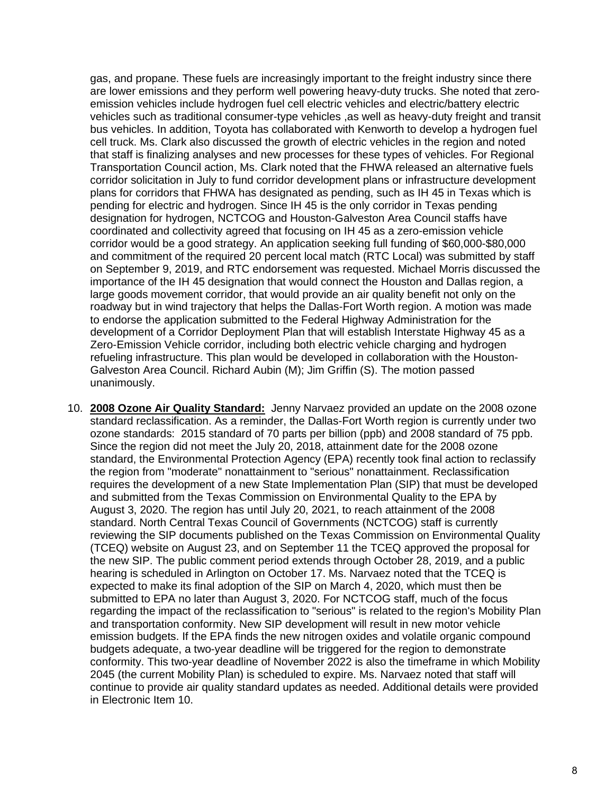gas, and propane. These fuels are increasingly important to the freight industry since there are lower emissions and they perform well powering heavy-duty trucks. She noted that zeroemission vehicles include hydrogen fuel cell electric vehicles and electric/battery electric vehicles such as traditional consumer-type vehicles ,as well as heavy-duty freight and transit bus vehicles. In addition, Toyota has collaborated with Kenworth to develop a hydrogen fuel cell truck. Ms. Clark also discussed the growth of electric vehicles in the region and noted that staff is finalizing analyses and new processes for these types of vehicles. For Regional Transportation Council action, Ms. Clark noted that the FHWA released an alternative fuels corridor solicitation in July to fund corridor development plans or infrastructure development plans for corridors that FHWA has designated as pending, such as IH 45 in Texas which is pending for electric and hydrogen. Since IH 45 is the only corridor in Texas pending designation for hydrogen, NCTCOG and Houston-Galveston Area Council staffs have coordinated and collectivity agreed that focusing on IH 45 as a zero-emission vehicle corridor would be a good strategy. An application seeking full funding of \$60,000-\$80,000 and commitment of the required 20 percent local match (RTC Local) was submitted by staff on September 9, 2019, and RTC endorsement was requested. Michael Morris discussed the importance of the IH 45 designation that would connect the Houston and Dallas region, a large goods movement corridor, that would provide an air quality benefit not only on the roadway but in wind trajectory that helps the Dallas-Fort Worth region. A motion was made to endorse the application submitted to the Federal Highway Administration for the development of a Corridor Deployment Plan that will establish Interstate Highway 45 as a Zero-Emission Vehicle corridor, including both electric vehicle charging and hydrogen refueling infrastructure. This plan would be developed in collaboration with the Houston-Galveston Area Council. Richard Aubin (M); Jim Griffin (S). The motion passed unanimously.

10. **2008 Ozone Air Quality Standard:** Jenny Narvaez provided an update on the 2008 ozone standard reclassification. As a reminder, the Dallas-Fort Worth region is currently under two ozone standards: 2015 standard of 70 parts per billion (ppb) and 2008 standard of 75 ppb. Since the region did not meet the July 20, 2018, attainment date for the 2008 ozone standard, the Environmental Protection Agency (EPA) recently took final action to reclassify the region from "moderate" nonattainment to "serious" nonattainment. Reclassification requires the development of a new State Implementation Plan (SIP) that must be developed and submitted from the Texas Commission on Environmental Quality to the EPA by August 3, 2020. The region has until July 20, 2021, to reach attainment of the 2008 standard. North Central Texas Council of Governments (NCTCOG) staff is currently reviewing the SIP documents published on the Texas Commission on Environmental Quality (TCEQ) website on August 23, and on September 11 the TCEQ approved the proposal for the new SIP. The public comment period extends through October 28, 2019, and a public hearing is scheduled in Arlington on October 17. Ms. Narvaez noted that the TCEQ is expected to make its final adoption of the SIP on March 4, 2020, which must then be submitted to EPA no later than August 3, 2020. For NCTCOG staff, much of the focus regarding the impact of the reclassification to "serious" is related to the region's Mobility Plan and transportation conformity. New SIP development will result in new motor vehicle emission budgets. If the EPA finds the new nitrogen oxides and volatile organic compound budgets adequate, a two-year deadline will be triggered for the region to demonstrate conformity. This two-year deadline of November 2022 is also the timeframe in which Mobility 2045 (the current Mobility Plan) is scheduled to expire. Ms. Narvaez noted that staff will continue to provide air quality standard updates as needed. Additional details were provided in Electronic Item 10.